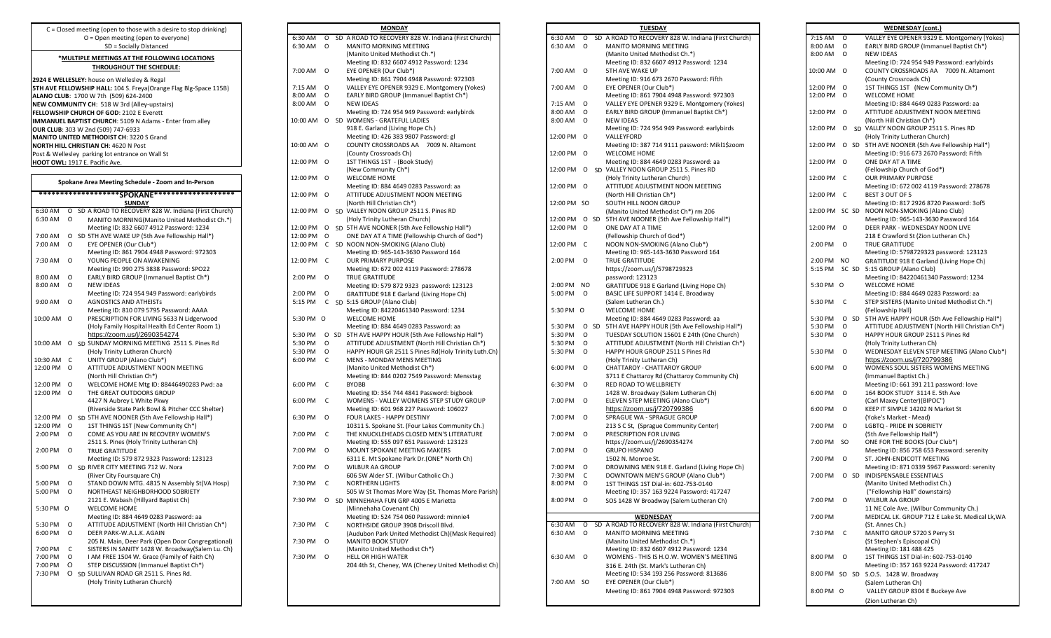| Spokane Area Meeting Schedule - Zoom and In-Person |               |                                                                                                       |  |  |  |  |  |
|----------------------------------------------------|---------------|-------------------------------------------------------------------------------------------------------|--|--|--|--|--|
| *******************\$SPOKANE********************   |               |                                                                                                       |  |  |  |  |  |
| 6:30 AM                                            | O             | SUNDAY<br>SD A ROAD TO RECOVERY 828 W. Indiana (First Church)                                         |  |  |  |  |  |
| 6:30 AM                                            | O             |                                                                                                       |  |  |  |  |  |
|                                                    |               | MANITO MORNING(Manito United Methodist Ch.*)                                                          |  |  |  |  |  |
|                                                    |               | Meeting ID: 832 6607 4912 Password: 1234                                                              |  |  |  |  |  |
| 7:00 AM                                            | O             | SD 5TH AVE WAKE UP (5th Ave Fellowship Hall*)                                                         |  |  |  |  |  |
| 7:00 AM                                            | O             | EYE OPENER (Our Club*)                                                                                |  |  |  |  |  |
|                                                    |               | Meeting ID: 861 7904 4948 Password: 972303                                                            |  |  |  |  |  |
| 7:30 AM                                            | O             | YOUNG PEOPLE ON AWAKENING                                                                             |  |  |  |  |  |
|                                                    |               | Meeting ID: 990 275 3838 Password: SPO22                                                              |  |  |  |  |  |
| 8:00 AM                                            | 0<br>$\Omega$ | EARLY BIRD GROUP (Immanuel Baptist Ch*)                                                               |  |  |  |  |  |
| 8:00 AM                                            |               | <b>NEW IDEAS</b>                                                                                      |  |  |  |  |  |
|                                                    |               | Meeting ID: 724 954 949 Password: earlybirds                                                          |  |  |  |  |  |
| 9:00 AM                                            | O             | <b>AGNOSTICS AND ATHEISTs</b>                                                                         |  |  |  |  |  |
|                                                    |               | Meeting ID: 810 079 5795 Password: AAAA                                                               |  |  |  |  |  |
| 10:00 AM                                           | O             | PRESCRIPTION FOR LIVING 5633 N Lidgerwood                                                             |  |  |  |  |  |
|                                                    |               | (Holy Family Hospital Health Ed Center Room 1)                                                        |  |  |  |  |  |
|                                                    |               | https://zoom.us/j/2690354274<br>SD SUNDAY MORNING MEETING 2511 S. Pines Rd                            |  |  |  |  |  |
| 10:00 AM                                           | O             |                                                                                                       |  |  |  |  |  |
|                                                    |               | (Holy Trinity Lutheran Church)                                                                        |  |  |  |  |  |
| 10:30 AM                                           | C             | UNITY GROUP (Alano Club*)                                                                             |  |  |  |  |  |
| 12:00 PM                                           | $\Omega$      | ATTITUDE ADJUSTMENT NOON MEETING                                                                      |  |  |  |  |  |
|                                                    |               | (North Hill Christian Ch*)                                                                            |  |  |  |  |  |
| 12:00 PM                                           | O             | WELCOME HOME Mtg ID: 88446490283 Pwd: aa                                                              |  |  |  |  |  |
| 12:00 PM                                           | O             | THE GREAT OUTDOORS GROUP                                                                              |  |  |  |  |  |
|                                                    |               | 4427 N Aubrey L White Pkwy                                                                            |  |  |  |  |  |
| 12:00 PM                                           |               | (Riverside State Park Bowl & Pitcher CCC Shelter)<br>SD 5TH AVE NOONER (5th Ave Fellowship Hall*)     |  |  |  |  |  |
| 12:00 PM                                           | O<br>O        | 1ST THINGS 1ST (New Community Ch*)                                                                    |  |  |  |  |  |
| 2:00 PM                                            | O             | COME AS YOU ARE IN RECOVERY WOMEN'S                                                                   |  |  |  |  |  |
|                                                    |               | 2511 S. Pines (Holy Trinity Lutheran Ch)                                                              |  |  |  |  |  |
| 2:00 PM                                            | O             |                                                                                                       |  |  |  |  |  |
|                                                    |               | <b>TRUE GRATITUDE</b>                                                                                 |  |  |  |  |  |
| 5:00 PM                                            |               | Meeting ID: 579 872 9323 Password: 123123                                                             |  |  |  |  |  |
|                                                    | O             | SD RIVER CITY MEETING 712 W. Nora                                                                     |  |  |  |  |  |
| 5:00 PM                                            | 0             | (River City Foursquare Ch)                                                                            |  |  |  |  |  |
|                                                    | $\Omega$      | STAND DOWN MTG. 4815 N Assembly St(VA Hosp)                                                           |  |  |  |  |  |
| 5:00 PM                                            |               | NORTHEAST NEIGHBORHOOD SOBRIETY                                                                       |  |  |  |  |  |
|                                                    |               | 2121 E. Wabash (Hillyard Baptist Ch)                                                                  |  |  |  |  |  |
| 5:30 PM                                            | 0             | <b>WELCOME HOME</b>                                                                                   |  |  |  |  |  |
|                                                    |               | Meeting ID: 884 4649 0283 Password: aa                                                                |  |  |  |  |  |
| 5:30 PM                                            | O             | ATTITUDE ADJUSTMENT (North Hill Christian Ch*)                                                        |  |  |  |  |  |
| 6:00 PM                                            | O             | DEER PARK-W.A.L.K. AGAIN                                                                              |  |  |  |  |  |
| 7:00 PM                                            | C             | 205 N. Main, Deer Park (Open Door Congregational)<br>SISTERS IN SANITY 1428 W. Broadway(Salem Lu. Ch) |  |  |  |  |  |
| 7:00 PM                                            | $\Omega$      | I AM FREE 1504 W. Grace (Family of Faith Ch)                                                          |  |  |  |  |  |
| 7:00 PM                                            | O             | STEP DISCUSSION (Immanuel Baptist Ch*)                                                                |  |  |  |  |  |
| 7:30 PM                                            | O             | SD SULLIVAN ROAD GR 2511 S. Pines Rd.                                                                 |  |  |  |  |  |
|                                                    |               | (Holy Trinity Lutheran Church)                                                                        |  |  |  |  |  |
|                                                    |               |                                                                                                       |  |  |  |  |  |

|    |   |    | <u>MONDAY</u>                                                              |
|----|---|----|----------------------------------------------------------------------------|
| M  | О |    | SD A ROAD TO RECOVERY 828 W. Indiana (First Church)                        |
| M  | o |    | MANITO MORNING MEETING                                                     |
|    |   |    | (Manito United Methodist Ch.*)                                             |
|    |   |    | Meeting ID: 832 6607 4912 Password: 1234                                   |
| М  | 0 |    | EYE OPENER (Our Club*)                                                     |
|    |   |    | Meeting ID: 861 7904 4948 Password: 972303                                 |
| Μ  | o |    | VALLEY EYE OPENER 9329 E. Montgomery (Yokes)                               |
| М  | О |    | EARLY BIRD GROUP (Immanuel Baptist Ch*)                                    |
| Μ  | О |    | <b>NEW IDEAS</b>                                                           |
|    |   |    | Meeting ID: 724 954 949 Password: earlybirds                               |
| ١М | 0 |    | SD WOMENS - GRATEFUL LADIES                                                |
|    |   |    | 918 E. Garland (Living Hope Ch.)                                           |
|    |   |    | Meeting ID: 426 383 9807 Password: gl                                      |
| ١M | Ο |    | COUNTY CROSSROADS AA<br>7009 N. Altamont                                   |
|    |   |    | (County Crossroads Ch)                                                     |
| 'M | Ο |    | 1ST THINGS 1ST - (Book Study)                                              |
|    |   |    | (New Community Ch*)                                                        |
| 'M | O |    | <b>WELCOME HOME</b>                                                        |
| 'M | 0 |    | Meeting ID: 884 4649 0283 Password: aa<br>ATTITUDE ADJUSTMENT NOON MEETING |
|    |   |    | (North Hill Christian Ch*)                                                 |
| 'M | Ο |    | SD VALLEY NOON GROUP 2511 S. Pines RD                                      |
|    |   |    | (Holy Trinity Lutheran Church)                                             |
| 'M | o |    | SD 5TH AVE NOONER (5th Ave Fellowship Hall*)                               |
| ١M | o |    | ONE DAY AT A TIME (Fellowship Church of God*)                              |
| 'M | С |    | SD NOON NON-SMOKING (Alano Club)                                           |
|    |   |    | Meeting ID: 965-143-3630 Password 164                                      |
| 'M | С |    | <b>OUR PRIMARY PURPOSE</b>                                                 |
|    |   |    | Meeting ID: 672 002 4119 Password: 278678                                  |
| М  | 0 |    | TRUE GRATITUDE                                                             |
|    |   |    | Meeting ID: 579 872 9323 password: 123123                                  |
| Μ  | O |    | GRATITUDE 918 E Garland (Living Hope Ch)                                   |
| M  | С |    | SD 5:15 GROUP (Alano Club)                                                 |
|    |   |    | Meeting ID: 84220461340 Password: 1234                                     |
| M  | Ο |    | <b>WELCOME HOME</b>                                                        |
|    |   |    | Meeting ID: 884 4649 0283 Password: aa                                     |
| М  | О | SD | 5TH AVE HAPPY HOUR (5th Ave Fellowship Hall*)                              |
| M  | o |    | ATTITUDE ADJUSTMENT (North Hill Christian Ch*)                             |
| М  | o |    | HAPPY HOUR GR 2511 S Pines Rd(Holy Trinity Luth.Ch)                        |
| М  | С |    | MENS - MONDAY MENS MEETING                                                 |
|    |   |    | (Manito United Methodist Ch*)                                              |
|    |   |    | Meeting ID: 844 0202 7549 Password: Mensstag                               |
| Μ  | С |    | <b>BYOBB</b>                                                               |
|    |   |    | Meeting ID: 354 744 4841 Password: bigbook                                 |
| M  | С |    | WOMENS - VALLEY WOMENS STEP STUDY GROUP                                    |
|    |   |    | Meeting ID: 601 968 227 Password: 106027                                   |
| М  | Ο |    | FOUR LAKES - HAPPY DESTINY                                                 |
|    |   |    | 10311 S. Spokane St. (Four Lakes Community Ch.)                            |
| M  | С |    | THE KNUCKLEHEADS CLOSED MEN'S LITERATURE                                   |
|    |   |    | Meeting ID: 555 097 651 Password: 123123                                   |
| M  | 0 |    | MOUNT SPOKANE MEETING MAKERS                                               |
|    |   |    | 6311 E. Mt Spokane Park Dr.(ONE* North Ch)                                 |
| М  | Ο |    | WILBUR AA GROUP                                                            |
|    |   |    | 606 SW Alder ST. (Wilbur Catholic Ch.)                                     |
| М  | с |    | <b>NORTHERN LIGHTS</b>                                                     |
|    |   |    | 505 W St Thomas More Way (St. Thomas More Parish)                          |
| М  | o |    | SD MINNEHAHA FUN GRP 4005 E Marietta                                       |
|    |   |    | (Minnehaha Covenant Ch)                                                    |
|    |   |    | Meeting ID: 524 754 060 Password: minnie4                                  |
| М  | С |    | NORTHSIDE GROUP 3908 Driscoll Blvd.                                        |
|    |   |    | (Audubon Park United Methodist Ch)(Mask Required)                          |
| Μ  | О |    | <b>MANITO BOOK STUDY</b>                                                   |
|    |   |    | (Manito United Methodist Ch*)                                              |
| Μ  | О |    | <b>HELL OR HIGH WATER</b>                                                  |
|    |   |    | 204 4th St, Cheney, WA (Cheney United Methodist Ch)                        |
|    |   |    |                                                                            |

| C = Closed meeting (open to those with a desire to stop drinking)                      | <b>MONDAY</b>                                                    | <b>TUESDAY</b>                                                                 | <b>WEDNESDAY</b> (cont.)                                                    |
|----------------------------------------------------------------------------------------|------------------------------------------------------------------|--------------------------------------------------------------------------------|-----------------------------------------------------------------------------|
| O = Open meeting (open to everyone)                                                    | 6:30 AM O SD A ROAD TO RECOVERY 828 W. Indiana (First Church)    | 6:30 AM O SD A ROAD TO RECOVERY 828 W. Indiana (First Church)                  | VALLEY EYE OPENER 9329 E. Montgomery (Yokes)<br>7:15 AM 0                   |
| SD = Socially Distanced                                                                | 6:30 AM 0<br>MANITO MORNING MEETING                              | 6:30 AM 0<br>MANITO MORNING MEETING                                            | 8:00 AM 0<br>EARLY BIRD GROUP (Immanuel Baptist Ch*)                        |
|                                                                                        | (Manito United Methodist Ch.*)                                   | (Manito United Methodist Ch.*)                                                 | 8:00 AM 0<br><b>NEW IDEAS</b>                                               |
| *MULTIPLE MEETINGS AT THE FOLLOWING LOCATIONS                                          | Meeting ID: 832 6607 4912 Password: 1234                         | Meeting ID: 832 6607 4912 Password: 1234                                       | Meeting ID: 724 954 949 Password: earlybirds                                |
| THROUGHOUT THE SCHEDULE:                                                               | 7:00 AM 0<br>EYE OPENER (Our Club*)                              | 7:00 AM 0<br>5TH AVE WAKE UP                                                   | COUNTY CROSSROADS AA 7009 N. Altamont<br>10:00 AM 0                         |
| 2924 E WELLESLEY: house on Wellesley & Regal                                           | Meeting ID: 861 7904 4948 Password: 972303                       | Meeting ID: 916 673 2670 Password: Fifth                                       | (County Crossroads Ch)                                                      |
| <b>STH AVE FELLOWSHIP HALL:</b> 104 S. Freya(Orange Flag Blg-Space 115B)               | 7:15 AM 0<br>VALLEY EYE OPENER 9329 E. Montgomery (Yokes)        | 7:00 AM 0<br>EYE OPENER (Our Club*)                                            | 12:00 PM 0<br>1ST THINGS 1ST (New Community Ch*)                            |
| ALANO CLUB: 1700 W 7th (509) 624-2400                                                  | EARLY BIRD GROUP (Immanuel Baptist Ch*)<br>8:00 AM 0             | Meeting ID: 861 7904 4948 Password: 972303                                     | 12:00 PM 0<br>WELCOME HOME                                                  |
| NEW COMMUNITY CH: 518 W 3rd (Alley-upstairs)                                           | 8:00 AM 0<br><b>NEW IDEAS</b>                                    | VALLEY EYE OPENER 9329 E. Montgomery (Yokes)<br>7:15 AM 0                      | Meeting ID: 884 4649 0283 Password: aa                                      |
| <b>ELLOWSHIP CHURCH OF GOD: 2102 E Everett</b>                                         | Meeting ID: 724 954 949 Password: earlybirds                     | 8:00 AM 0<br>EARLY BIRD GROUP (Immanuel Baptist Ch*)                           | 12:00 PM 0<br>ATTITUDE ADJUSTMENT NOON MEETING                              |
| MMANUEL BAPTIST CHURCH: 5109 N Adams - Enter from alley                                | 10:00 AM O SD WOMENS - GRATEFUL LADIES                           | 8:00 AM 0<br><b>NEW IDEAS</b>                                                  | (North Hill Christian Ch*)                                                  |
| <b>DUR CLUB: 303 W 2nd (509) 747-6933</b>                                              | 918 E. Garland (Living Hope Ch.)                                 | Meeting ID: 724 954 949 Password: earlybirds                                   | 12:00 PM O SD VALLEY NOON GROUP 2511 S. Pines RD                            |
| <b>MANITO UNITED METHODIST CH: 3220 S Grand</b>                                        | Meeting ID: 426 383 9807 Password: gl                            | 12:00 PM 0<br>VALLEYFORD                                                       | (Holy Trinity Lutheran Church)                                              |
| <b>NORTH HILL CHRISTIAN CH: 4620 N Post</b>                                            | COUNTY CROSSROADS AA 7009 N. Altamont<br>10:00 AM 0              | Meeting ID: 387 714 9111 password: Mikl1\$zoom                                 | 12:00 PM O SD 5TH AVE NOONER (5th Ave Fellowship Hall*)                     |
| ost & Wellesley parking lot entrance on Wall St                                        | (County Crossroads Ch)                                           | 12:00 PM O<br>WELCOME HOME                                                     | Meeting ID: 916 673 2670 Password: Fifth                                    |
| <b>HOOT OWL:</b> 1917 E. Pacific Ave.                                                  | 12:00 PM O<br>1ST THINGS 1ST - (Book Study)                      | Meeting ID: 884 4649 0283 Password: aa                                         | 12:00 PM 0<br>ONE DAY AT A TIME                                             |
|                                                                                        | (New Community Ch*)                                              | 12:00 PM O SD VALLEY NOON GROUP 2511 S. Pines RD                               | (Fellowship Church of God*)                                                 |
|                                                                                        | 12:00 PM O<br><b>WELCOME HOME</b>                                |                                                                                | 12:00 PM C<br><b>OUR PRIMARY PURPOSE</b>                                    |
| Spokane Area Meeting Schedule - Zoom and In-Person                                     |                                                                  | (Holy Trinity Lutheran Church)                                                 |                                                                             |
| ********************SPOKANE*******************                                         | Meeting ID: 884 4649 0283 Password: aa                           | 12:00 PM 0<br>ATTITUDE ADJUSTMENT NOON MEETING                                 | Meeting ID: 672 002 4119 Password: 278678                                   |
|                                                                                        | 12:00 PM 0<br>ATTITUDE ADJUSTMENT NOON MEETING                   | (North Hill Christian Ch*)                                                     | BEST 3 OUT OF 5<br>12:00 PM C                                               |
| <b>SUNDAY</b>                                                                          | (North Hill Christian Ch*)                                       | 12:00 PM SO<br>SOUTH HILL NOON GROUP                                           | Meeting ID: 817 2926 8720 Password: 3of5                                    |
| 6:30 AM O SD A ROAD TO RECOVERY 828 W. Indiana (First Church)                          | 12:00 PM O SD VALLEY NOON GROUP 2511 S. Pines RD                 | (Manito United Methodist Ch*) rm 206                                           | 12:00 PM SC SD NOON NON-SMOKING (Alano Club)                                |
| 6:30 AM 0<br>MANITO MORNING(Manito United Methodist Ch.*)                              | (Holy Trinity Lutheran Church)                                   | 12:00 PM O SD 5TH AVE NOONER (5th Ave Fellowship Hall*)                        | Meeting ID: 965-143-3630 Password 164                                       |
| Meeting ID: 832 6607 4912 Password: 1234                                               | 12:00 PM O SD 5TH AVE NOONER (5th Ave Fellowship Hall*)          | 12:00 PM 0<br>ONE DAY AT A TIME                                                | 12:00 PM 0<br>DEER PARK - WEDNESDAY NOON LIVE                               |
| 7:00 AM O SD 5TH AVE WAKE UP (5th Ave Fellowship Hall*)                                | 12:00 PM O<br>ONE DAY AT A TIME (Fellowship Church of God*)      | (Fellowship Church of God*)                                                    | 218 E Crawford St (Zion Lutheran Ch.)                                       |
| 7:00 AM 0<br>EYE OPENER (Our Club*)                                                    | 12:00 PM C SD NOON NON-SMOKING (Alano Club)                      | 12:00 PM C<br>NOON NON-SMOKING (Alano Club*)                                   | 2:00 PM 0<br>TRUE GRATITUDE                                                 |
| Meeting ID: 861 7904 4948 Password: 972303                                             | Meeting ID: 965-143-3630 Password 164                            | Meeting ID: 965-143-3630 Password 164                                          | Meeting ID: 5798729323 password: 123123                                     |
| YOUNG PEOPLE ON AWAKENING<br>7:30 AM 0                                                 | 12:00 PM C<br><b>OUR PRIMARY PURPOSE</b>                         | 2:00 PM 0<br>TRUE GRATITUDE                                                    | 2:00 PM NO<br>GRATITUDE 918 E Garland (Living Hope Ch)                      |
| Meeting ID: 990 275 3838 Password: SPO22                                               | Meeting ID: 672 002 4119 Password: 278678                        | https://zoom.us/j/5798729323                                                   | 5:15 PM SC SD 5:15 GROUP (Alano Club)                                       |
| EARLY BIRD GROUP (Immanuel Baptist Ch*)<br>8:00 AM 0                                   | 2:00 PM 0<br>TRUE GRATITUDE                                      | password: 123123                                                               | Meeting ID: 84220461340 Password: 1234                                      |
| 8:00 AM 0<br><b>NEW IDEAS</b>                                                          | Meeting ID: 579 872 9323 password: 123123                        | 2:00 PM NO<br>GRATITUDE 918 E Garland (Living Hope Ch)                         | 5:30 PM O<br>WELCOME HOME                                                   |
| Meeting ID: 724 954 949 Password: earlybirds                                           | 2:00 PM 0<br>GRATITUDE 918 E Garland (Living Hope Ch)            | 5:00 PM O<br>BASIC LIFE SUPPORT 1414 E. Broadway                               | Meeting ID: 884 4649 0283 Password: aa                                      |
| <b>AGNOSTICS AND ATHEISTS</b><br>9:00 AM 0                                             | 5:15 PM C SD 5:15 GROUP (Alano Club)                             | (Salem Lutheran Ch.)                                                           | 5:30 PM C<br>STEP SISTERS (Manito United Methodist Ch.*)                    |
| Meeting ID: 810 079 5795 Password: AAAA                                                | Meeting ID: 84220461340 Password: 1234                           | 5:30 PM O<br>WELCOME HOME                                                      | (Fellowship Hall)                                                           |
| PRESCRIPTION FOR LIVING 5633 N Lidgerwood<br>10:00 AM O                                | WELCOME HOME<br>5:30 PM O                                        | Meeting ID: 884 4649 0283 Password: aa                                         | 5:30 PM O SD 5TH AVE HAPPY HOUR (5th Ave Fellowship Hall*)                  |
| (Holy Family Hospital Health Ed Center Room 1)                                         | Meeting ID: 884 4649 0283 Password: aa                           | 5:30 PM O SD 5TH AVE HAPPY HOUR (5th Ave Fellowship Hall*)                     | ATTITUDE ADJUSTMENT (North Hill Christian Ch*)<br>5:30 PM<br>$\overline{O}$ |
| https://zoom.us/j/2690354274                                                           | 5:30 PM O SD 5TH AVE HAPPY HOUR (5th Ave Fellowship Hall*)       | 5:30 PM 0<br>TUESDAY SOLUTION 15601 E 24th (One Church)                        | 5:30 PM 0<br>HAPPY HOUR GROUP 2511 S Pines Rd                               |
| 10:00 AM O SD SUNDAY MORNING MEETING 2511 S. Pines Rd                                  | 5:30 PM 0<br>ATTITUDE ADJUSTMENT (North Hill Christian Ch*)      | 5:30 PM 0<br>ATTITUDE ADJUSTMENT (North Hill Christian Ch*)                    | (Holy Trinity Lutheran Ch)                                                  |
| (Holy Trinity Lutheran Church)                                                         | 5:30 PM 0<br>HAPPY HOUR GR 2511 S Pines Rd(Holy Trinity Luth.Ch) | 5:30 PM 0<br>HAPPY HOUR GROUP 2511 S Pines Rd                                  | 5:30 PM 0<br>WEDNESDAY ELEVEN STEP MEETING (Alano Club*)                    |
| UNITY GROUP (Alano Club*)<br>10:30 AM C                                                | 6:00 PM C<br>MENS - MONDAY MENS MEETING                          | (Holy Trinity Lutheran Ch)                                                     | https://zoom.us/j/720799386                                                 |
| 12:00 PM O<br>ATTITUDE ADJUSTMENT NOON MEETING                                         | (Manito United Methodist Ch*)                                    | 6:00 PM 0<br><b>CHATTAROY - CHATTAROY GROUP</b>                                | WOMENS SOUL SISTERS WOMENS MEETING<br>6:00 PM 0                             |
| (North Hill Christian Ch*)                                                             | Meeting ID: 844 0202 7549 Password: Mensstag                     | 3711 E Chattaroy Rd (Chattaroy Community Ch)                                   | (Immanuel Baptist Ch.)                                                      |
| WELCOME HOME Mtg ID: 88446490283 Pwd: aa<br>12:00 PM 0                                 | 6:00 PM C<br><b>BYOBB</b>                                        | RED ROAD TO WELLBRIETY<br>6:30 PM 0                                            | Meeting ID: 661 391 211 password: love                                      |
| 12:00 PM O<br>THE GREAT OUTDOORS GROUP                                                 | Meeting ID: 354 744 4841 Password: bigbook                       | 1428 W. Broadway (Salem Lutheran Ch)                                           | 6:00 PM 0<br>164 BOOK STUDY 3114 E. 5th Ave                                 |
| 4427 N Aubrey L White Pkwy                                                             | WOMENS - VALLEY WOMENS STEP STUDY GROUP<br>6:00 PM C             | 7:00 PM 0<br>ELEVEN STEP MEETING (Alano Club*)                                 | (Carl Maxey Center)(BIPOC")                                                 |
| (Riverside State Park Bowl & Pitcher CCC Shelter)                                      | Meeting ID: 601 968 227 Password: 106027                         | https://zoom.us/j/720799386                                                    | 6:00 PM 0<br>KEEP IT SIMPLE 14202 N Market St                               |
| 12:00 PM O SD 5TH AVE NOONER (5th Ave Fellowship Hall*)                                | 6:30 PM 0<br>FOUR LAKES - HAPPY DESTINY                          | SPRAGUE WA - SPRAGUE GROUP<br>7:00 PM 0                                        | (Yoke's Market - Mead)                                                      |
| 12:00 PM O                                                                             | 10311 S. Spokane St. (Four Lakes Community Ch.)                  |                                                                                | 7:00 PM 0<br>LGBTQ - PRIDE IN SOBRIETY                                      |
| 1ST THINGS 1ST (New Community Ch*)<br>COME AS YOU ARE IN RECOVERY WOMEN'S<br>2:00 PM 0 | THE KNUCKLEHEADS CLOSED MEN'S LITERATURE<br>7:00 PM C            | 213 S C St, (Sprague Community Center)<br>7:00 PM O<br>PRESCRIPTION FOR LIVING | (5th Ave Fellowship Hall*)                                                  |
| 2511 S. Pines (Holy Trinity Lutheran Ch)                                               |                                                                  |                                                                                | 7:00 PM SO                                                                  |
|                                                                                        | Meeting ID: 555 097 651 Password: 123123<br>7:00 PM 0            | https://zoom.us/j/2690354274<br>7:00 PM 0<br><b>GRUPO HISPANO</b>              | ONE FOR THE BOOKS (Our Club*)                                               |
| 2:00 PM 0<br>TRUE GRATITUDE                                                            | MOUNT SPOKANE MEETING MAKERS                                     |                                                                                | Meeting ID: 856 758 653 Password: serenity                                  |
| Meeting ID: 579 872 9323 Password: 123123                                              | 6311 E. Mt Spokane Park Dr.(ONE* North Ch)                       | 1502 N. Monroe St.                                                             | 7:00 PM 0<br>ST. JOHN-ENDICOTT MEETING                                      |
| 5:00 PM O SD RIVER CITY MEETING 712 W. Nora                                            | 7:00 PM 0<br><b>WILBUR AA GROUP</b>                              | 7:00 PM 0<br>DROWNING MEN 918 E. Garland (Living Hope Ch)                      | Meeting ID: 871 0339 5967 Password: serenity                                |
| (River City Foursquare Ch)                                                             | 606 SW Alder ST. (Wilbur Catholic Ch.)                           | 7:30 PM C<br>DOWNTOWN MEN'S GROUP (Alano Club*)                                | 7:00 PM O SD INDISPENSABLE ESSENTIALS                                       |
| STAND DOWN MTG. 4815 N Assembly St(VA Hosp)<br>5:00 PM O                               | 7:30 PM C<br><b>NORTHERN LIGHTS</b>                              | 8:00 PM 0<br>1ST THINGS 1ST Dial-in: 602-753-0140                              | (Manito United Methodist Ch.)                                               |
| 5:00 PM 0<br>NORTHEAST NEIGHBORHOOD SOBRIETY                                           | 505 W St Thomas More Way (St. Thomas More Parish)                | Meeting ID: 357 163 9224 Password: 417247                                      | ("Fellowship Hall" downstairs)                                              |
| 2121 E. Wabash (Hillyard Baptist Ch)                                                   | 7:30 PM O SD MINNEHAHA FUN GRP 4005 E Marietta                   | 8:00 PM 0<br>SOS 1428 W Broadway (Salem Lutheran Ch)                           | 7:00 PM 0<br><b>WILBUR AA GROUP</b>                                         |
| WELCOME HOME<br>5:30 PM O                                                              | (Minnehaha Covenant Ch)                                          |                                                                                | 11 NE Cole Ave. (Wilbur Community Ch.)                                      |
| Meeting ID: 884 4649 0283 Password: aa                                                 | Meeting ID: 524 754 060 Password: minnie4                        | <b>WEDNESDAY</b>                                                               | 7:00 PM<br>MEDICAL LK. GROUP 712 E Lake St. Medical Lk, WA                  |
| ATTITUDE ADJUSTMENT (North Hill Christian Ch*)<br>5:30 PM 0                            | 7:30 PM C<br>NORTHSIDE GROUP 3908 Driscoll Blvd.                 | 6:30 AM O SD A ROAD TO RECOVERY 828 W. Indiana (First Church)                  | (St. Annes Ch.)                                                             |
| 6:00 PM 0<br>DEER PARK-W.A.L.K. AGAIN                                                  | (Audubon Park United Methodist Ch)(Mask Required)                | 6:30 AM<br>$\circ$<br>MANITO MORNING MEETING                                   | MANITO GROUP 5720 S Perry St<br>7:30 PM C                                   |
| 205 N. Main, Deer Park (Open Door Congregational)                                      | 7:30 PM 0<br><b>MANITO BOOK STUDY</b>                            | (Manito United Methodist Ch.*)                                                 | (St Stephen's Episcopal Ch)                                                 |
| SISTERS IN SANITY 1428 W. Broadway(Salem Lu. Ch)<br>7:00 PM C                          | (Manito United Methodist Ch*)                                    | Meeting ID: 832 6607 4912 Password: 1234                                       | Meeting ID: 181 488 425                                                     |
| 7:00 PM 0<br>I AM FREE 1504 W. Grace (Family of Faith Ch)                              | 7:30 PM 0<br><b>HELL OR HIGH WATER</b>                           | 6:30 AM 0<br>WOMENS - THIS IS H.O.W. WOMEN'S MEETING                           | 8:00 PM 0<br>1ST THINGS 1ST Dial-in: 602-753-0140                           |
| STEP DISCUSSION (Immanuel Baptist Ch*)<br>7:00 PM O                                    | 204 4th St, Cheney, WA (Cheney United Methodist Ch)              | 316 E. 24th (St. Mark's Lutheran Ch)                                           | Meeting ID: 357 163 9224 Password: 417247                                   |
| 7:30 PM O SD SULLIVAN ROAD GR 2511 S. Pines Rd.                                        |                                                                  | Meeting ID: 534 193 256 Password: 813686                                       | 8:00 PM SO SD S.O.S. 1428 W. Broadway                                       |
| (Holy Trinity Lutheran Church)                                                         |                                                                  | EYE OPENER (Our Club*)<br>7:00 AM SO                                           | (Salem Lutheran Ch)                                                         |
|                                                                                        |                                                                  | Meeting ID: 861 7904 4948 Password: 972303                                     | 8:00 PM O<br>VALLEY GROUP 8304 E Buckeye Ave                                |
|                                                                                        |                                                                  |                                                                                | $(7)$ and Linkages Ch.                                                      |

|          |         |       | <u>WEDNESDAY (cont.)</u>                                     |
|----------|---------|-------|--------------------------------------------------------------|
| 7:15 AM  | O       |       | VALLEY EYE OPENER 9329 E. Montgomery (Yokes)                 |
| 8:00 AM  | o       |       | EARLY BIRD GROUP (Immanuel Baptist Ch*)                      |
| 8:00 AM  | O       |       | <b>NEW IDEAS</b>                                             |
|          |         |       | Meeting ID: 724 954 949 Password: earlybirds                 |
| 10:00 AM | O       |       | COUNTY CROSSROADS AA 7009 N. Altamont                        |
| 12:00 PM | O       |       | (County Crossroads Ch)<br>1ST THINGS 1ST (New Community Ch*) |
| 12:00 PM | O       |       | WELCOME HOME                                                 |
|          |         |       | Meeting ID: 884 4649 0283 Password: aa                       |
| 12:00 PM | O       |       | ATTITUDE ADJUSTMENT NOON MEETING                             |
|          |         |       | (North Hill Christian Ch*)                                   |
| 12:00 PM | O       |       | SD VALLEY NOON GROUP 2511 S. Pines RD                        |
|          |         |       | (Holy Trinity Lutheran Church)                               |
| 12:00 PM | O       | SD    | 5TH AVE NOONER (5th Ave Fellowship Hall*)                    |
|          |         |       | Meeting ID: 916 673 2670 Password: Fifth                     |
| 12:00 PM | Ο       |       | ONE DAY AT A TIME                                            |
|          |         |       | (Fellowship Church of God*)                                  |
| 12:00 PM | C       |       | <b>OUR PRIMARY PURPOSE</b>                                   |
|          |         |       | Meeting ID: 672 002 4119 Password: 278678                    |
| 12:00 PM | C       |       | BEST 3 OUT OF 5                                              |
|          |         |       | Meeting ID: 817 2926 8720 Password: 3of5                     |
| 12:00 PM |         | SC SD | NOON NON-SMOKING (Alano Club)                                |
|          |         |       | Meeting ID: 965-143-3630 Password 164                        |
| 12:00 PM | O       |       | DEER PARK - WEDNESDAY NOON LIVE                              |
|          |         |       | 218 E Crawford St (Zion Lutheran Ch.)                        |
| 2:00 PM  | O       |       | TRUE GRATITUDE                                               |
|          |         |       | Meeting ID: 5798729323 password: 123123                      |
| 2:00 PM  | NO      |       | GRATITUDE 918 E Garland (Living Hope Ch)                     |
| 5:15 PM  |         | SC SD | 5:15 GROUP (Alano Club)                                      |
|          |         |       | Meeting ID: 84220461340 Password: 1234                       |
| 5:30 PM  | 0       |       | WELCOME HOME                                                 |
|          |         |       | Meeting ID: 884 4649 0283 Password: aa                       |
| 5:30 PM  | С       |       | STEP SISTERS (Manito United Methodist Ch.*)                  |
|          |         |       | (Fellowship Hall)                                            |
| 5:30 PM  | O       | SD    | 5TH AVE HAPPY HOUR (5th Ave Fellowship Hall*)                |
| 5:30 PM  | O       |       | ATTITUDE ADJUSTMENT (North Hill Christian Ch*)               |
| 5:30 PM  | O       |       | HAPPY HOUR GROUP 2511 S Pines Rd                             |
|          |         |       | (Holy Trinity Lutheran Ch)                                   |
| 5:30 PM  | O       |       | WEDNESDAY ELEVEN STEP MEETING (Alano Club*)                  |
|          |         |       | https://zoom.us/j/720799386                                  |
| 6:00 PM  | О       |       | WOMENS SOUL SISTERS WOMENS MEETING                           |
|          |         |       | (Immanuel Baptist Ch.)                                       |
|          |         |       | Meeting ID: 661 391 211 password: love                       |
| 6:00 PM  | О       |       | 164 BOOK STUDY 3114 E. 5th Ave                               |
|          |         |       | (Carl Maxey Center)(BIPOC")                                  |
| 6:00 PM  | O       |       | KEEP IT SIMPLE 14202 N Market St                             |
|          |         |       | (Yoke's Market - Mead)                                       |
| 7:00 PM  | O       |       | LGBTQ - PRIDE IN SOBRIETY                                    |
|          |         |       | (5th Ave Fellowship Hall*)                                   |
| 7:00 PM  | SO      |       | ONE FOR THE BOOKS (Our Club*)                                |
|          |         |       | Meeting ID: 856 758 653 Password: serenity                   |
| 7:00 PM  | o       |       | ST. JOHN-ENDICOTT MEETING                                    |
|          |         |       | Meeting ID: 871 0339 5967 Password: serenity                 |
| 7:00 PM  | O       | SD    | INDISPENSABLE ESSENTIALS                                     |
|          |         |       | (Manito United Methodist Ch.)                                |
|          |         |       | ("Fellowship Hall" downstairs)                               |
| 7:00 PM  | О       |       | WILBUR AA GROUP                                              |
|          |         |       | 11 NE Cole Ave. (Wilbur Community Ch.)                       |
| 7:00 PM  |         |       | MEDICAL LK. GROUP 712 E Lake St. Medical Lk, WA              |
|          |         |       | (St. Annes Ch.)                                              |
| 7:30 PM  | С       |       | MANITO GROUP 5720 S Perry St                                 |
|          |         |       | (St Stephen's Episcopal Ch)                                  |
|          |         |       | Meeting ID: 181 488 425                                      |
| 8:00 PM  | O       |       | 1ST THINGS 1ST Dial-in: 602-753-0140                         |
|          |         |       | Meeting ID: 357 163 9224 Password: 417247                    |
| 8:00 PM  | SO.     | SD    | S.O.S. 1428 W. Broadway                                      |
|          |         |       | (Salem Lutheran Ch)                                          |
| 8:00 PM  | $\circ$ |       | VALLEY GROUP 8304 E Buckeye Ave                              |
|          |         |       | (Zion Lutheran Ch)                                           |